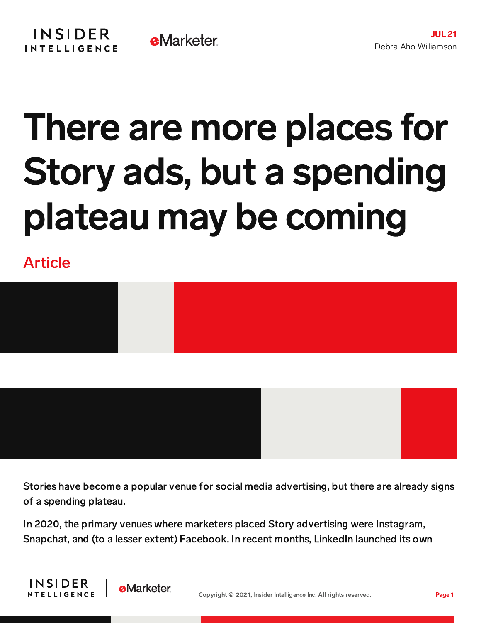## There are more places for Story ads, but a spending plateau may be coming

Article



Stories have become a popular venue for social media advertising, but there are already signs of a spending plateau.

In 2020, the primary venues where marketers placed Story advertising were Instagram, Snapchat, and (to a lesser extent) Facebook. In recent months, LinkedIn launched its own



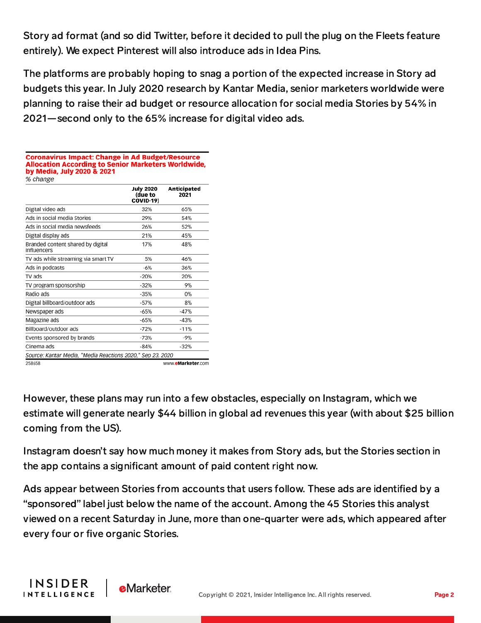Story ad format (and so did Twitter, before it decided to pull the plug on the Fleets feature entirely). We expect Pinterest will also introduce ads in Idea Pins.

The platforms are probably hoping to snag a portion of the expected increase in Story ad budgets this year. In July 2020 research by Kantar Media, senior marketers worldwide were planning to raise their ad budget or resource allocation for social media Stories by 54% in 2021—second only to the 65% increase for digital video ads.

| Allocation According to Senior Marketers Worldwide,<br>by Media, July 2020 & 2021<br>% change |                                                 |                     |
|-----------------------------------------------------------------------------------------------|-------------------------------------------------|---------------------|
|                                                                                               | <b>July 2020</b><br>(due to<br><b>COVID-19)</b> | Anticipated<br>2021 |
| Digital video ads                                                                             | 32%                                             | 65%                 |
| Ads in social media Stories                                                                   | 29%                                             | 54%                 |
| Ads in social media newsfeeds                                                                 | 26%                                             | 52%                 |
| Digital display ads                                                                           | 21%                                             | 45%                 |
| Branded content shared by digital<br>influencers                                              | 17%                                             | 48%                 |
| TV ads while streaming via smart TV                                                           | 5%                                              | 46%                 |
| Ads in podcasts                                                                               | $-6%$                                           | 36%                 |
| TV ads                                                                                        | $-20%$                                          | 20%                 |
| TV program sponsorship                                                                        | $-32%$                                          | 9%                  |
| Radio ads                                                                                     | $-35%$                                          | 0%                  |
| Digital billboard/outdoor ads                                                                 | $-57%$                                          | 8%                  |
| Newspaper ads                                                                                 | $-65%$                                          | $-47%$              |
| Magazine ads                                                                                  | $-65%$                                          | $-43%$              |
| Billboard/outdoor ads                                                                         | $-72%$                                          | $-11%$              |
| Events sponsored by brands                                                                    | $-73%$                                          | $-9%$               |
| Cinema ads                                                                                    | $-84%$                                          | $-32%$              |
| Source: Kantar Media, "Media Reactions 2020," Sep 23, 2020                                    |                                                 |                     |
| 258658                                                                                        |                                                 | www.eMarketer.com   |

**Coronavirus Impact: Change in Ad Budget/Resource** 

However, these plans may run into a few obstacles, especially on Instagram, which we estimate will generate nearly \$44 billion in global ad revenues this year (with about \$25 billion coming from the US).

Instagram doesn't say how much money it makes from Story ads, but the Stories section in the app contains a significant amount of paid content right now.

Ads appear between Stories from accounts that users follow. These ads are identified by a "sponsored" label just below the name of the account. Among the 45 Stories this analyst viewed on a recent Saturday in June, more than one-quarter were ads, which appeared after every four or five organic Stories.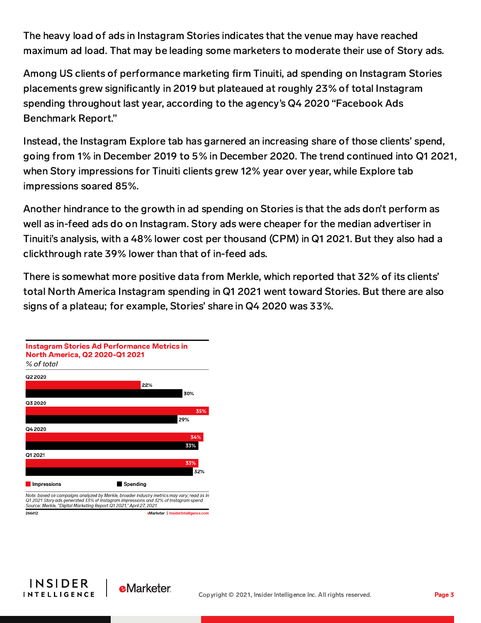The heavy load of ads in Instagram Stories indicates that the venue may have reached maximum ad load. That may be leading some marketers to moderate their use of Story ads.

Among US clients of performance marketing firm Tinuiti, ad spending on Instagram Stories placements grew significantly in 2019 but plateaued at roughly 23% of total Instagram spending throughout last year, according to the agency's Q4 2020 "Facebook Ads Benchmark Report."

Instead, the Instagram Explore tab has garnered an increasing share of those clients' spend, going from 1% in December 2019 to 5% in December 2020. The trend continued into Q1 2021, when Story impressions for Tinuiti clients grew 12% year over year, while Explore tab impressions soared 85%.

Another hindrance to the growth in ad spending on Stories is that the ads don't perform as well as in-feed ads do on Instagram. Story ads were cheaper for the median advertiser in Tinuiti's analysis, with a 48% lower cost per thousand (CPM) in Q1 2021. But they also had a clickthrough rate 39% lower than that of in-feed ads.

There is somewhat more positive data from Merkle, which reported that 32% of its clients' total North America Instagram spending in Q1 2021 went toward Stories. But there are also signs of a plateau; for example, Stories' share in Q4 2020 was 33%.